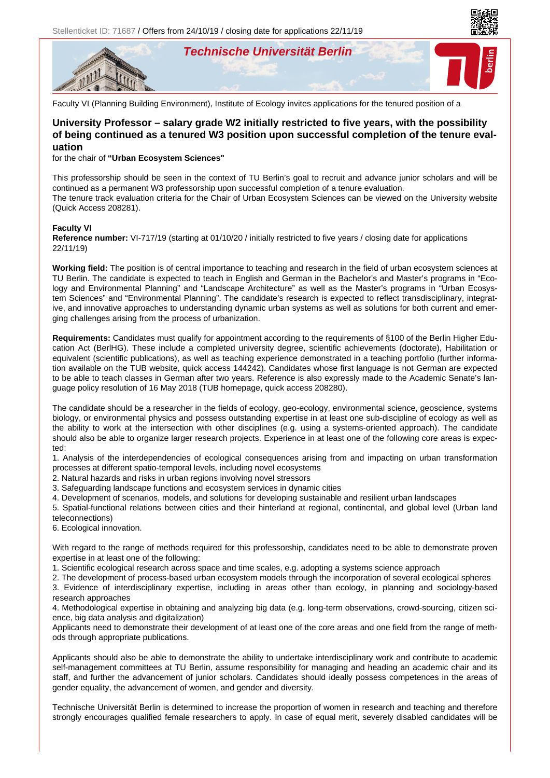**Technische Universität Berlin**





Faculty VI (Planning Building Environment), Institute of Ecology invites applications for the tenured position of a

## **University Professor – salary grade W2 initially restricted to five years, with the possibility of being continued as a tenured W3 position upon successful completion of the tenure evaluation**

for the chair of **"Urban Ecosystem Sciences"**

This professorship should be seen in the context of TU Berlin's goal to recruit and advance junior scholars and will be continued as a permanent W3 professorship upon successful completion of a tenure evaluation. The tenure track evaluation criteria for the Chair of Urban Ecosystem Sciences can be viewed on the University website (Quick Access 208281).

## **Faculty VI**

**Reference number:** VI-717/19 (starting at 01/10/20 / initially restricted to five years / closing date for applications 22/11/19)

**Working field:** The position is of central importance to teaching and research in the field of urban ecosystem sciences at TU Berlin. The candidate is expected to teach in English and German in the Bachelor's and Master's programs in "Ecology and Environmental Planning" and "Landscape Architecture" as well as the Master's programs in "Urban Ecosystem Sciences" and "Environmental Planning". The candidate's research is expected to reflect transdisciplinary, integrative, and innovative approaches to understanding dynamic urban systems as well as solutions for both current and emerging challenges arising from the process of urbanization.

**Requirements:** Candidates must qualify for appointment according to the requirements of §100 of the Berlin Higher Education Act (BerlHG). These include a completed university degree, scientific achievements (doctorate), Habilitation or equivalent (scientific publications), as well as teaching experience demonstrated in a teaching portfolio (further information available on the TUB website, quick access 144242). Candidates whose first language is not German are expected to be able to teach classes in German after two years. Reference is also expressly made to the Academic Senate's language policy resolution of 16 May 2018 (TUB homepage, quick access 208280).

The candidate should be a researcher in the fields of ecology, geo-ecology, environmental science, geoscience, systems biology, or environmental physics and possess outstanding expertise in at least one sub-discipline of ecology as well as the ability to work at the intersection with other disciplines (e.g. using a systems-oriented approach). The candidate should also be able to organize larger research projects. Experience in at least one of the following core areas is expected:

1. Analysis of the interdependencies of ecological consequences arising from and impacting on urban transformation processes at different spatio-temporal levels, including novel ecosystems

2. Natural hazards and risks in urban regions involving novel stressors

3. Safeguarding landscape functions and ecosystem services in dynamic cities

4. Development of scenarios, models, and solutions for developing sustainable and resilient urban landscapes

5. Spatial-functional relations between cities and their hinterland at regional, continental, and global level (Urban land teleconnections)

6. Ecological innovation.

With regard to the range of methods required for this professorship, candidates need to be able to demonstrate proven expertise in at least one of the following:

1. Scientific ecological research across space and time scales, e.g. adopting a systems science approach

2. The development of process-based urban ecosystem models through the incorporation of several ecological spheres

3. Evidence of interdisciplinary expertise, including in areas other than ecology, in planning and sociology-based research approaches

4. Methodological expertise in obtaining and analyzing big data (e.g. long-term observations, crowd-sourcing, citizen science, big data analysis and digitalization)

Applicants need to demonstrate their development of at least one of the core areas and one field from the range of methods through appropriate publications.

Applicants should also be able to demonstrate the ability to undertake interdisciplinary work and contribute to academic self-management committees at TU Berlin, assume responsibility for managing and heading an academic chair and its staff, and further the advancement of junior scholars. Candidates should ideally possess competences in the areas of gender equality, the advancement of women, and gender and diversity.

Technische Universität Berlin is determined to increase the proportion of women in research and teaching and therefore strongly encourages qualified female researchers to apply. In case of equal merit, severely disabled candidates will be